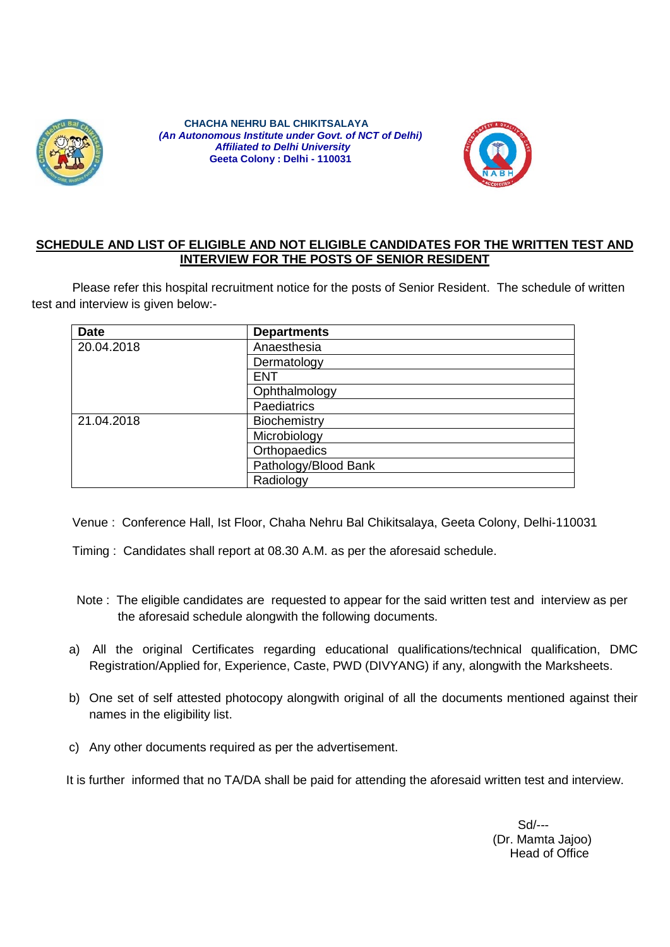

 **CHACHA NEHRU BAL CHIKITSALAYA**  *(An Autonomous Institute under Govt. of NCT of Delhi) Affiliated to Delhi University* **Geeta Colony : Delhi - 110031**



#### **SCHEDULE AND LIST OF ELIGIBLE AND NOT ELIGIBLE CANDIDATES FOR THE WRITTEN TEST AND INTERVIEW FOR THE POSTS OF SENIOR RESIDENT**

Please refer this hospital recruitment notice for the posts of Senior Resident. The schedule of written test and interview is given below:-

| <b>Date</b> | <b>Departments</b>   |  |
|-------------|----------------------|--|
| 20.04.2018  | Anaesthesia          |  |
|             | Dermatology          |  |
|             | <b>ENT</b>           |  |
|             | Ophthalmology        |  |
|             | <b>Paediatrics</b>   |  |
| 21.04.2018  | Biochemistry         |  |
|             | Microbiology         |  |
|             | Orthopaedics         |  |
|             | Pathology/Blood Bank |  |
|             | Radiology            |  |

Venue : Conference Hall, Ist Floor, Chaha Nehru Bal Chikitsalaya, Geeta Colony, Delhi-110031

Timing : Candidates shall report at 08.30 A.M. as per the aforesaid schedule.

- Note : The eligible candidates are requested to appear for the said written test and interview as per the aforesaid schedule alongwith the following documents.
- a) All the original Certificates regarding educational qualifications/technical qualification, DMC Registration/Applied for, Experience, Caste, PWD (DIVYANG) if any, alongwith the Marksheets.
- b) One set of self attested photocopy alongwith original of all the documents mentioned against their names in the eligibility list.
- c) Any other documents required as per the advertisement.

It is further informed that no TA/DA shall be paid for attending the aforesaid written test and interview.

Sd/--- (Dr. Mamta Jajoo) Head of Office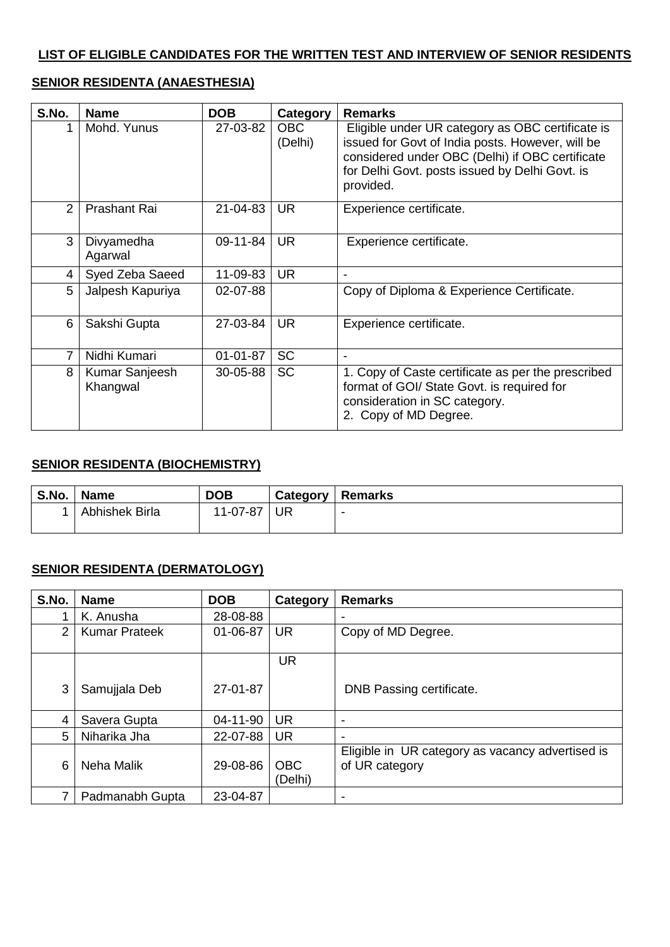#### **LIST OF ELIGIBLE CANDIDATES FOR THE WRITTEN TEST AND INTERVIEW OF SENIOR RESIDENTS**

#### **SENIOR RESIDENTA (ANAESTHESIA)**

| S.No.          | <b>Name</b>                | <b>DOB</b> | Category        | <b>Remarks</b>                                                                                                                                                                                                         |
|----------------|----------------------------|------------|-----------------|------------------------------------------------------------------------------------------------------------------------------------------------------------------------------------------------------------------------|
|                | Mohd. Yunus                | 27-03-82   | OBC.<br>(Delhi) | Eligible under UR category as OBC certificate is<br>issued for Govt of India posts. However, will be<br>considered under OBC (Delhi) if OBC certificate<br>for Delhi Govt. posts issued by Delhi Govt. is<br>provided. |
| $\overline{2}$ | <b>Prashant Rai</b>        | 21-04-83   | <b>UR</b>       | Experience certificate.                                                                                                                                                                                                |
| 3              | Divyamedha<br>Agarwal      | 09-11-84   | <b>UR</b>       | Experience certificate.                                                                                                                                                                                                |
| 4              | Syed Zeba Saeed            | 11-09-83   | <b>UR</b>       |                                                                                                                                                                                                                        |
| 5              | Jalpesh Kapuriya           | 02-07-88   |                 | Copy of Diploma & Experience Certificate.                                                                                                                                                                              |
| 6              | Sakshi Gupta               | 27-03-84   | <b>UR</b>       | Experience certificate.                                                                                                                                                                                                |
| 7              | Nidhi Kumari               | 01-01-87   | <b>SC</b>       |                                                                                                                                                                                                                        |
| 8              | Kumar Sanjeesh<br>Khangwal | 30-05-88   | <b>SC</b>       | 1. Copy of Caste certificate as per the prescribed<br>format of GOI/ State Govt. is required for<br>consideration in SC category.<br>2. Copy of MD Degree.                                                             |

#### **SENIOR RESIDENTA (BIOCHEMISTRY)**

| S.No. | <b>Name</b>    | <b>DOB</b> | Category | <b>Remarks</b> |
|-------|----------------|------------|----------|----------------|
|       | Abhishek Birla | 11-07-87   | UR       | -              |

### **SENIOR RESIDENTA (DERMATOLOGY)**

| S.No. | <b>Name</b>          | <b>DOB</b> | Category              | <b>Remarks</b>                                                     |
|-------|----------------------|------------|-----------------------|--------------------------------------------------------------------|
|       | K. Anusha            | 28-08-88   |                       | $\overline{\phantom{a}}$                                           |
| 2     | <b>Kumar Prateek</b> | 01-06-87   | <b>UR</b>             | Copy of MD Degree.                                                 |
|       |                      |            | <b>UR</b>             |                                                                    |
| 3     | Samujjala Deb        | 27-01-87   |                       | DNB Passing certificate.                                           |
| 4     | Savera Gupta         | 04-11-90   | <b>UR</b>             | $\overline{\phantom{a}}$                                           |
| 5     | Niharika Jha         | 22-07-88   | <b>UR</b>             | ٠                                                                  |
| 6     | Neha Malik           | 29-08-86   | <b>OBC</b><br>(Delhi) | Eligible in UR category as vacancy advertised is<br>of UR category |
| 7     | Padmanabh Gupta      | 23-04-87   |                       | $\,$                                                               |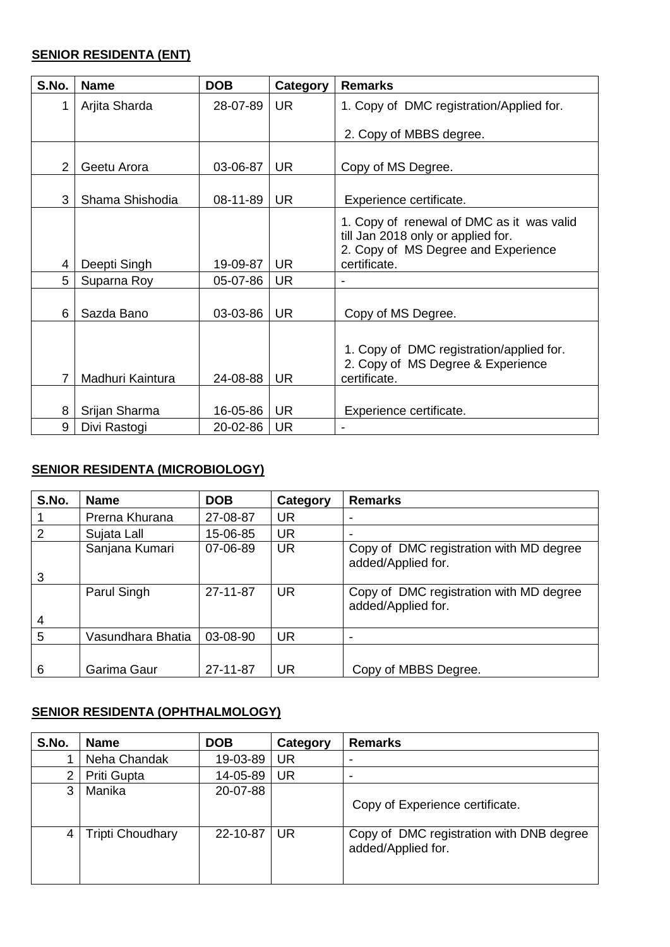### **SENIOR RESIDENTA (ENT)**

| S.No.         | <b>Name</b>      | <b>DOB</b> | Category  | <b>Remarks</b>                                                                                                                         |
|---------------|------------------|------------|-----------|----------------------------------------------------------------------------------------------------------------------------------------|
| 1             | Arjita Sharda    | 28-07-89   | <b>UR</b> | 1. Copy of DMC registration/Applied for.                                                                                               |
|               |                  |            |           | 2. Copy of MBBS degree.                                                                                                                |
| $\mathcal{P}$ | Geetu Arora      | 03-06-87   | UR.       | Copy of MS Degree.                                                                                                                     |
| 3             | Shama Shishodia  | 08-11-89   | <b>UR</b> | Experience certificate.                                                                                                                |
| 4             | Deepti Singh     | 19-09-87   | <b>UR</b> | 1. Copy of renewal of DMC as it was valid<br>till Jan 2018 only or applied for.<br>2. Copy of MS Degree and Experience<br>certificate. |
| 5             | Suparna Roy      | 05-07-86   | <b>UR</b> |                                                                                                                                        |
| 6             | Sazda Bano       | 03-03-86   | <b>UR</b> | Copy of MS Degree.                                                                                                                     |
|               | Madhuri Kaintura | 24-08-88   | <b>UR</b> | 1. Copy of DMC registration/applied for.<br>2. Copy of MS Degree & Experience<br>certificate.                                          |
| 8             | Srijan Sharma    | 16-05-86   | <b>UR</b> | Experience certificate.                                                                                                                |
| 9             | Divi Rastogi     | 20-02-86   | <b>UR</b> |                                                                                                                                        |

# **SENIOR RESIDENTA (MICROBIOLOGY)**

| S.No. | <b>Name</b>       | <b>DOB</b> | Category  | <b>Remarks</b>                                                |
|-------|-------------------|------------|-----------|---------------------------------------------------------------|
|       | Prerna Khurana    | 27-08-87   | UR        |                                                               |
| 2     | Sujata Lall       | 15-06-85   | <b>UR</b> |                                                               |
|       | Sanjana Kumari    | 07-06-89   | <b>UR</b> | Copy of DMC registration with MD degree<br>added/Applied for. |
| 3     |                   |            |           |                                                               |
|       | Parul Singh       | 27-11-87   | <b>UR</b> | Copy of DMC registration with MD degree<br>added/Applied for. |
| 4     |                   |            |           |                                                               |
| 5     | Vasundhara Bhatia | 03-08-90   | <b>UR</b> |                                                               |
|       |                   |            |           |                                                               |
| 6     | Garima Gaur       | 27-11-87   | <b>UR</b> | Copy of MBBS Degree.                                          |

# **SENIOR RESIDENTA (OPHTHALMOLOGY)**

| S.No. | <b>Name</b>             | <b>DOB</b> | Category  | <b>Remarks</b>                                                 |
|-------|-------------------------|------------|-----------|----------------------------------------------------------------|
|       | Neha Chandak            | 19-03-89   | UR        |                                                                |
| 2     | Priti Gupta             | 14-05-89   | <b>UR</b> |                                                                |
| 3     | Manika                  | 20-07-88   |           | Copy of Experience certificate.                                |
| 4     | <b>Tripti Choudhary</b> | 22-10-87   | UR        | Copy of DMC registration with DNB degree<br>added/Applied for. |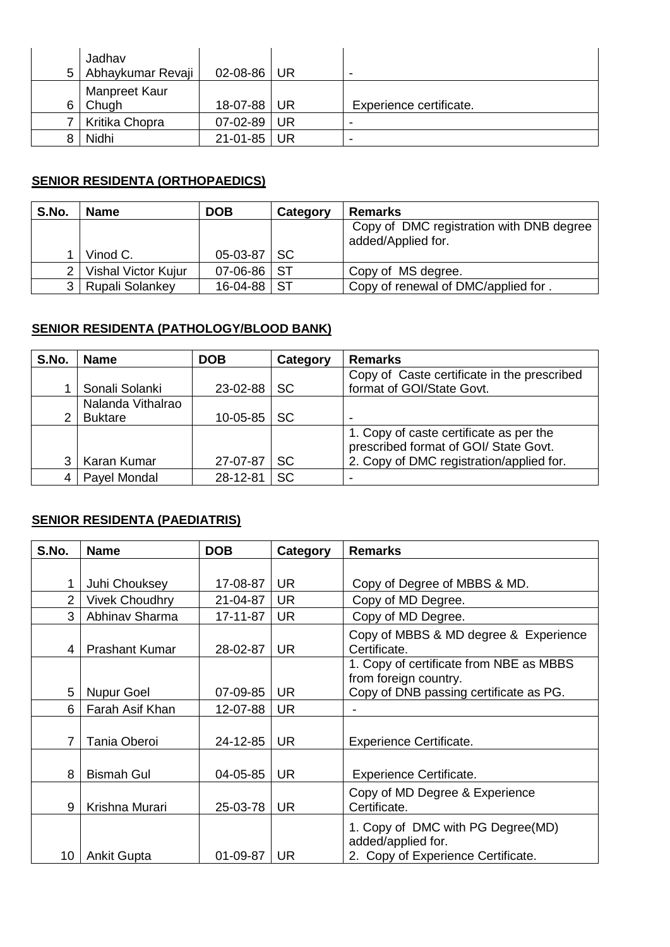| 5  | Jadhav<br>Abhaykumar Revaji   | $02 - 08 - 86$ UR |    | -                       |
|----|-------------------------------|-------------------|----|-------------------------|
| 6. | Manpreet Kaur<br><b>Chugh</b> | 18-07-88 UR       |    | Experience certificate. |
|    | Kritika Chopra                | $07 - 02 - 89$    | UR | $\,$                    |
|    | Nidhi                         | 21-01-85 UR       |    | $\,$                    |

# **SENIOR RESIDENTA (ORTHOPAEDICS)**

| S.No. | <b>Name</b>         | <b>DOB</b>     | Category  | <b>Remarks</b>                                                 |
|-------|---------------------|----------------|-----------|----------------------------------------------------------------|
|       |                     |                |           | Copy of DMC registration with DNB degree<br>added/Applied for. |
|       |                     |                |           |                                                                |
|       | Vinod C.            | 05-03-87       | <b>SC</b> |                                                                |
|       | Vishal Victor Kujur | $07 - 06 - 86$ | <b>ST</b> | Copy of MS degree.                                             |
|       | Rupali Solankey     | 16-04-88       | <b>ST</b> | Copy of renewal of DMC/applied for.                            |

## **SENIOR RESIDENTA (PATHOLOGY/BLOOD BANK)**

| S.No. | <b>Name</b>       | <b>DOB</b> | Category  | <b>Remarks</b>                              |
|-------|-------------------|------------|-----------|---------------------------------------------|
|       |                   |            |           | Copy of Caste certificate in the prescribed |
|       | Sonali Solanki    | 23-02-88   | <b>SC</b> | format of GOI/State Govt.                   |
|       | Nalanda Vithalrao |            |           |                                             |
| 2     | <b>Buktare</b>    | 10-05-85   | <b>SC</b> | $\,$                                        |
|       |                   |            |           | 1. Copy of caste certificate as per the     |
|       |                   |            |           | prescribed format of GOI/ State Govt.       |
|       | Karan Kumar       | 27-07-87   | SC        | 2. Copy of DMC registration/applied for.    |
|       | Payel Mondal      | 28-12-81   | <b>SC</b> |                                             |

## **SENIOR RESIDENTA (PAEDIATRIS)**

| S.No.          | <b>Name</b>           | <b>DOB</b> | Category  | <b>Remarks</b>                                                                                |
|----------------|-----------------------|------------|-----------|-----------------------------------------------------------------------------------------------|
|                |                       |            |           |                                                                                               |
| 1              | Juhi Chouksey         | 17-08-87   | <b>UR</b> | Copy of Degree of MBBS & MD.                                                                  |
| $\overline{2}$ | <b>Vivek Choudhry</b> | 21-04-87   | <b>UR</b> | Copy of MD Degree.                                                                            |
| 3              | Abhinav Sharma        | 17-11-87   | <b>UR</b> | Copy of MD Degree.                                                                            |
| 4              | <b>Prashant Kumar</b> | 28-02-87   | <b>UR</b> | Copy of MBBS & MD degree & Experience<br>Certificate.                                         |
|                |                       |            |           | 1. Copy of certificate from NBE as MBBS<br>from foreign country.                              |
| 5              | <b>Nupur Goel</b>     | 07-09-85   | <b>UR</b> | Copy of DNB passing certificate as PG.                                                        |
| 6              | Farah Asif Khan       | 12-07-88   | <b>UR</b> |                                                                                               |
| 7              | Tania Oberoi          | 24-12-85   | <b>UR</b> | <b>Experience Certificate.</b>                                                                |
| 8              | <b>Bismah Gul</b>     | 04-05-85   | <b>UR</b> | <b>Experience Certificate.</b>                                                                |
| 9              | Krishna Murari        | 25-03-78   | <b>UR</b> | Copy of MD Degree & Experience<br>Certificate.                                                |
| 10             | <b>Ankit Gupta</b>    | 01-09-87   | UR        | 1. Copy of DMC with PG Degree(MD)<br>added/applied for.<br>2. Copy of Experience Certificate. |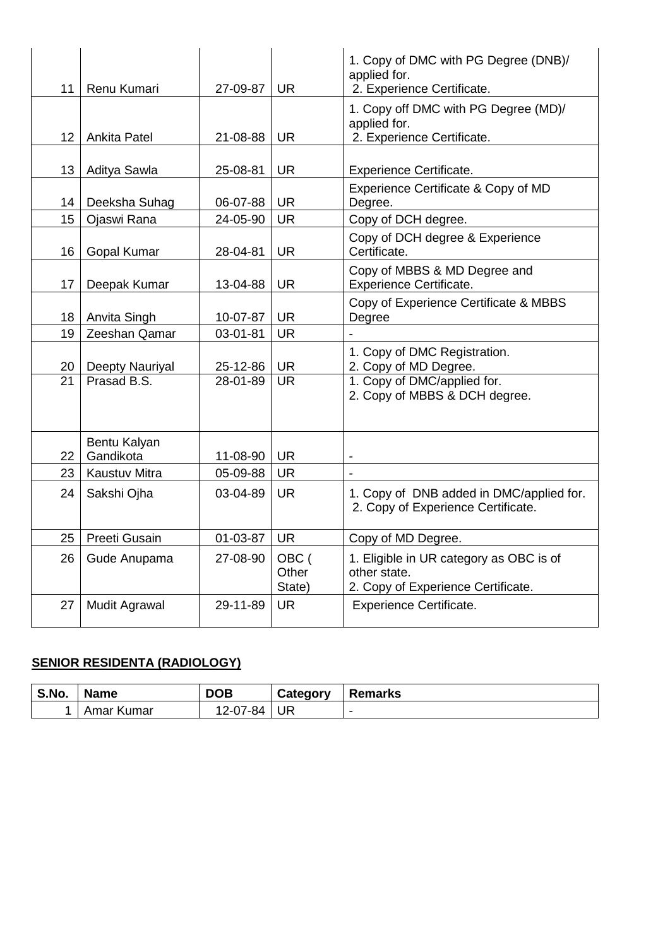| 11              | Renu Kumari               | 27-09-87 | <b>UR</b>                | 1. Copy of DMC with PG Degree (DNB)/<br>applied for.<br>2. Experience Certificate.            |
|-----------------|---------------------------|----------|--------------------------|-----------------------------------------------------------------------------------------------|
| 12              | <b>Ankita Patel</b>       | 21-08-88 | <b>UR</b>                | 1. Copy off DMC with PG Degree (MD)/<br>applied for.<br>2. Experience Certificate.            |
| 13              | Aditya Sawla              | 25-08-81 | <b>UR</b>                | <b>Experience Certificate.</b>                                                                |
| 14              | Deeksha Suhag             | 06-07-88 | <b>UR</b>                | Experience Certificate & Copy of MD<br>Degree.                                                |
| 15              | Ojaswi Rana               | 24-05-90 | <b>UR</b>                | Copy of DCH degree.                                                                           |
| 16              | Gopal Kumar               | 28-04-81 | <b>UR</b>                | Copy of DCH degree & Experience<br>Certificate.                                               |
| 17              | Deepak Kumar              | 13-04-88 | <b>UR</b>                | Copy of MBBS & MD Degree and<br><b>Experience Certificate.</b>                                |
| 18              | Anvita Singh              | 10-07-87 | <b>UR</b>                | Copy of Experience Certificate & MBBS<br>Degree                                               |
| 19              | Zeeshan Qamar             | 03-01-81 | <b>UR</b>                |                                                                                               |
| 20              | Deepty Nauriyal           | 25-12-86 | <b>UR</b>                | 1. Copy of DMC Registration.<br>2. Copy of MD Degree.                                         |
| $\overline{21}$ | Prasad B.S.               | 28-01-89 | <b>UR</b>                | 1. Copy of DMC/applied for.<br>2. Copy of MBBS & DCH degree.                                  |
| 22              | Bentu Kalyan<br>Gandikota | 11-08-90 | <b>UR</b>                |                                                                                               |
| 23              | <b>Kaustuv Mitra</b>      | 05-09-88 | <b>UR</b>                |                                                                                               |
| 24              | Sakshi Ojha               | 03-04-89 | <b>UR</b>                | 1. Copy of DNB added in DMC/applied for.<br>2. Copy of Experience Certificate.                |
| 25              | Preeti Gusain             | 01-03-87 | <b>UR</b>                | Copy of MD Degree.                                                                            |
| 26              | Gude Anupama              | 27-08-90 | OBC (<br>Other<br>State) | 1. Eligible in UR category as OBC is of<br>other state.<br>2. Copy of Experience Certificate. |
| 27              | <b>Mudit Agrawal</b>      | 29-11-89 | <b>UR</b>                | <b>Experience Certificate.</b>                                                                |

# **SENIOR RESIDENTA (RADIOLOGY)**

| S.No. | <b>Name</b>  | <b>DOB</b>   | Category | <b>Remarks</b> |
|-------|--------------|--------------|----------|----------------|
|       | Kumar<br>Ama | 2-07-84<br>∼ | UR       | -              |